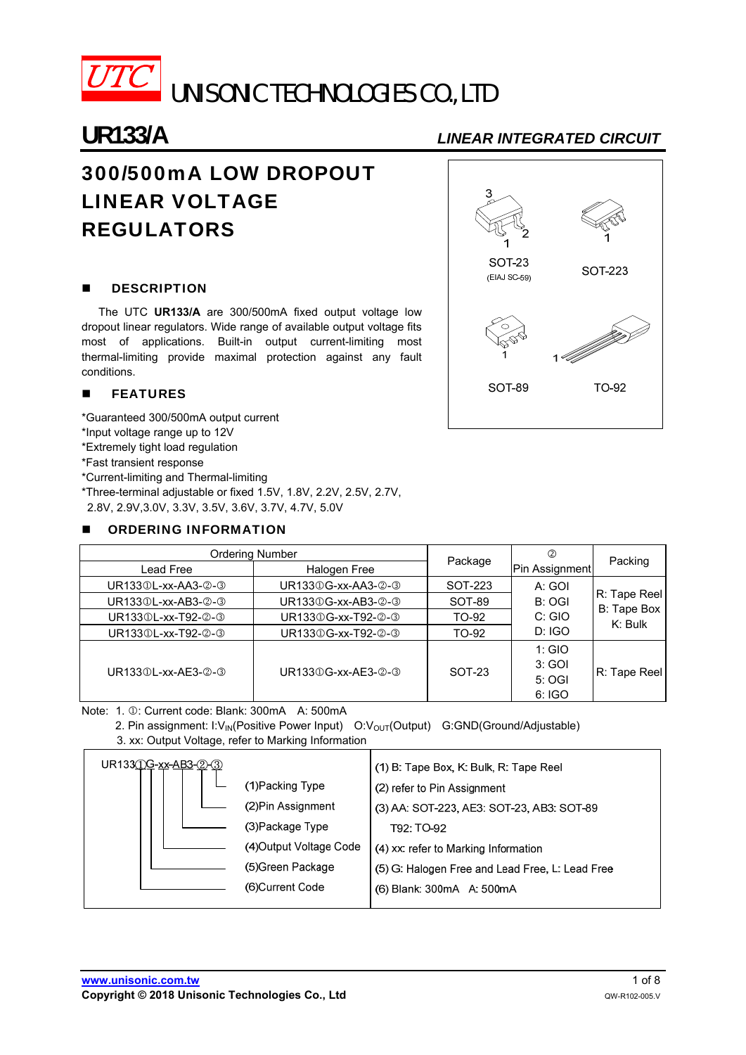

 $\overline{UTC}$  unisonic technologies co., LTD

## **UR133/A** *LINEAR INTEGRATED CIRCUIT*

## 300/500mA LOW DROPOUT LINEAR VOLTAGE REGULATORS

#### **DESCRIPTION**

The UTC **UR133/A** are 300/500mA fixed output voltage low dropout linear regulators. Wide range of available output voltage fits most of applications. Built-in output current-limiting most thermal-limiting provide maximal protection against any fault conditions.

#### **E** FEATURES

- \*Guaranteed 300/500mA output current
- \*Input voltage range up to 12V
- \*Extremely tight load regulation
- \*Fast transient response

\*Current-limiting and Thermal-limiting

- \*Three-terminal adjustable or fixed 1.5V, 1.8V, 2.2V, 2.5V, 2.7V,
- 2.8V, 2.9V,3.0V, 3.3V, 3.5V, 3.6V, 3.7V, 4.7V, 5.0V

#### **DECISION INFORMATION**

|                    | <b>Ordering Number</b> |         | Ø              |                                        |  |
|--------------------|------------------------|---------|----------------|----------------------------------------|--|
| Lead Free          | Halogen Free           | Package | Pin Assignment | Packing                                |  |
| UR1330L-xx-AA3-2-3 | UR1330G-xx-AA3-2-3     | SOT-223 | A: GOI         | R: Tape Reel<br>B: Tape Box<br>K: Bulk |  |
| UR1330L-xx-AB3-2-3 | UR1330G-xx-AB3-2-3     | SOT-89  | B: OGI         |                                        |  |
| UR1330L-xx-T92-2-3 | UR1330G-xx-T92-2-3     | TO-92   | C: GIO         |                                        |  |
| UR1330L-xx-T92-2-3 | UR1330G-xx-T92-2-3     | TO-92   | D:IGO          |                                        |  |
| UR1330L-xx-AE3-2-3 |                        |         | $1:$ GIO       |                                        |  |
|                    | UR1330G-xx-AE3-2-3     | SOT-23  | 3: GOI         | R: Tape Reel                           |  |
|                    |                        |         | 5:OGI          |                                        |  |
|                    |                        |         | 6: IGO         |                                        |  |

Note: 1. 0: Current code: Blank: 300mA A: 500mA

2. Pin assignment: I:V<sub>IN</sub>(Positive Power Input) O:V<sub>OUT</sub>(Output) G:GND(Ground/Adjustable) 3. xx: Output Voltage, refer to Marking Information



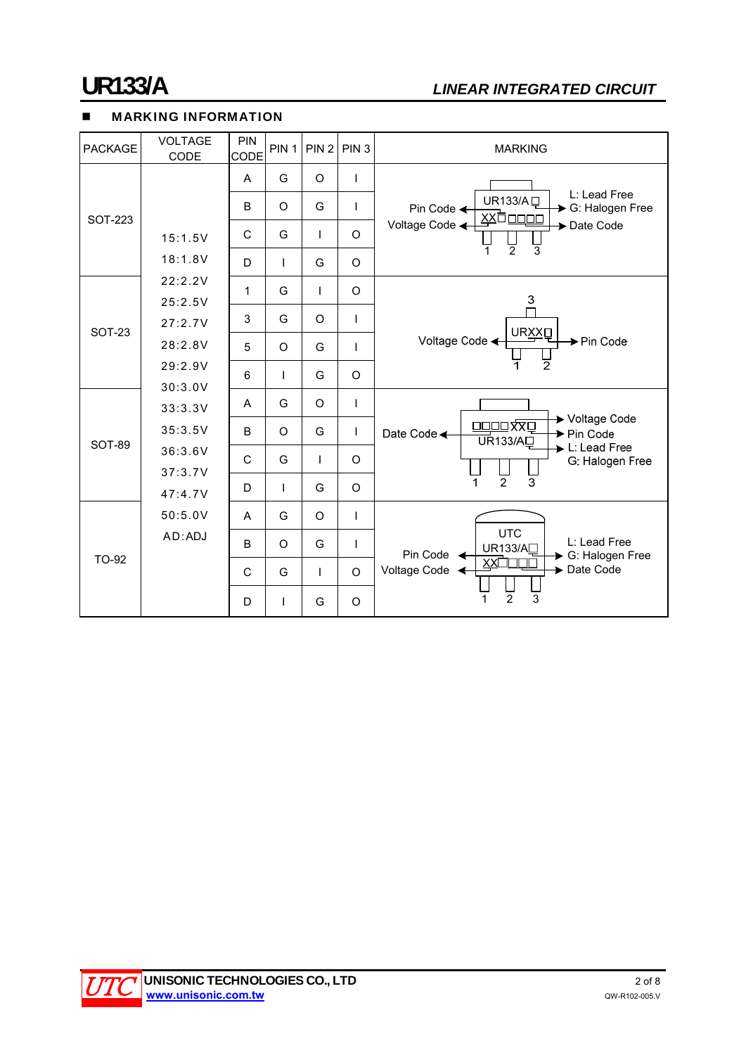# **UR133/A** *LINEAR INTEGRATED CIRCUIT*

#### **MARKING INFORMATION**

| <b>PACKAGE</b>                                                       | <b>VOLTAGE</b><br>CODE | PIN<br>CODE  | PIN <sub>1</sub> | PIN <sub>2</sub> | PIN <sub>3</sub> | <b>MARKING</b>                                                                                                                             |
|----------------------------------------------------------------------|------------------------|--------------|------------------|------------------|------------------|--------------------------------------------------------------------------------------------------------------------------------------------|
|                                                                      |                        | A            | G                | O                | ı                |                                                                                                                                            |
| <b>SOT-223</b>                                                       |                        | B            | $\circ$          | G                | L                | L: Lead Free<br>UR133/AQ<br>→ G: Halogen Free<br>Pin Code $\triangleleft$<br><b>XXOOOOO</b>                                                |
|                                                                      | 15:1.5V                | C            | G                | $\mathbf{I}$     | O                | Voltage Code <<br>Date Code                                                                                                                |
|                                                                      | 18:1.8V                | D            | $\mathsf{I}$     | G                | O                | $\overline{2}$<br>$\overline{3}$<br>1                                                                                                      |
|                                                                      | 22:2.2V<br>25:2.5V     | 1            | G                | T                | $\circ$          | 3                                                                                                                                          |
| <b>SOT-23</b>                                                        | 27:2.7V                | 3            | G                | O                | T                |                                                                                                                                            |
|                                                                      | 28:2.8V                | 5            | $\circ$          | G                | T                | <b>URXXQ</b><br>Voltage Code <<br>▶ Pin Code                                                                                               |
|                                                                      | 29:2.9V<br>30:3.0V     | 6            | $\mathbf{I}$     | G                | $\Omega$         | $\overline{2}$                                                                                                                             |
| 33:3.3V<br>35:3.5V<br><b>SOT-89</b><br>36:3.6V<br>37:3.7V<br>47:4.7V | A                      | G            | O                | L                |                  |                                                                                                                                            |
|                                                                      |                        | B            | $\circ$          | G                | $\mathbf{I}$     | → Voltage Code<br>$\Box$ $\Box$ $\Box$ $\overline{\mathrm{XX}}$ $\Box$<br>Date Code ←<br>$\blacktriangleright$ Pin Code<br>UR133/A <u></u> |
|                                                                      |                        | $\mathsf{C}$ | G                | T                | O                | $\blacktriangleright$ L: Lead Free<br>G: Halogen Free                                                                                      |
|                                                                      |                        | D            | $\mathbf{I}$     | G                | $\circ$          | $\overline{2}$<br>3<br>1                                                                                                                   |
| 50:5.0V<br>AD:ADJ<br>TO-92                                           |                        | A            | G                | O                | T                |                                                                                                                                            |
|                                                                      |                        | B            | $\circ$          | G                | L                | <b>UTC</b><br>L: Lead Free<br>UR133/AO<br>Pin Code $\leftarrow$<br>→ G: Halogen Free                                                       |
|                                                                      |                        | $\mathsf{C}$ | G                | $\mathbf{I}$     | $\Omega$         | $XX$ $\Box$<br>Voltage Code <<br>Date Code                                                                                                 |
|                                                                      |                        | D            | L                | G                | $\circ$          | $\overline{2}$<br>3                                                                                                                        |

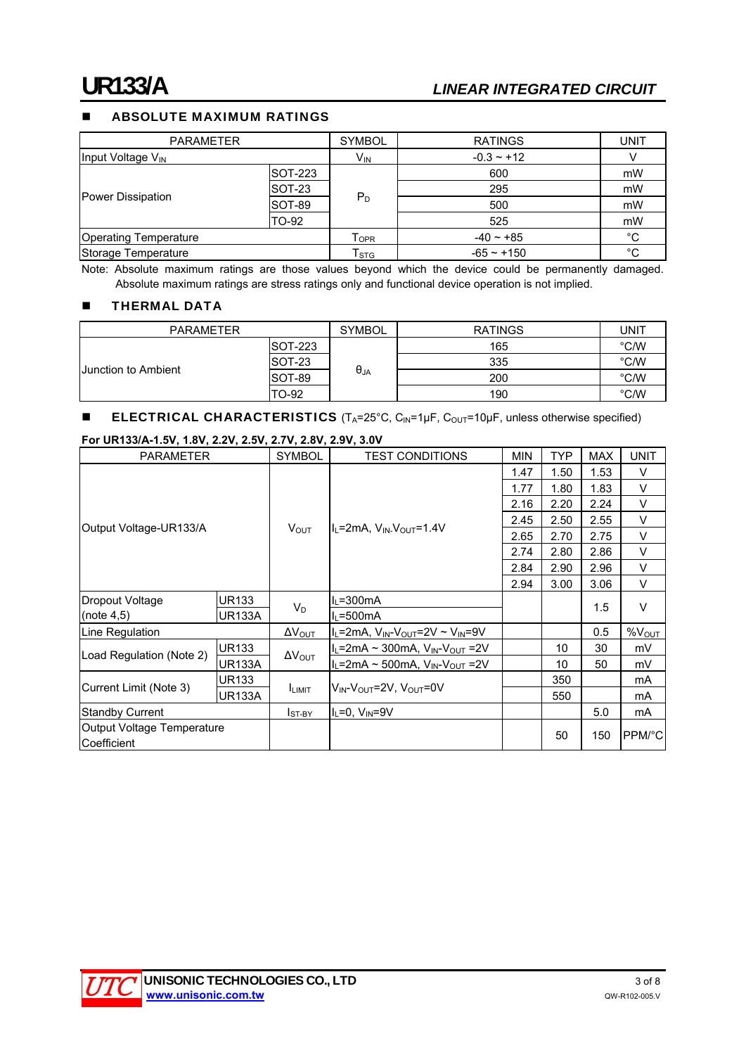#### ABSOLUTE MAXIMUM RATINGS

| <b>PARAMETER</b>              |                 | <b>SYMBOL</b>               | <b>RATINGS</b> | UNIT |
|-------------------------------|-----------------|-----------------------------|----------------|------|
| Input Voltage V <sub>IN</sub> |                 | V <sub>IN</sub>             | $-0.3 - +12$   |      |
| Power Dissipation             | <b>ISOT-223</b> |                             | 600            | mW   |
|                               | SOT-23          | $P_D$                       | 295            | mW   |
|                               | <b>SOT-89</b>   |                             | 500            | mW   |
|                               | TO-92           |                             | 525            | mW   |
| <b>Operating Temperature</b>  |                 | $\mathsf{T}_{\mathsf{OPR}}$ | $-40 - +85$    | °C   |
| Storage Temperature           |                 | $\mathsf{T}_{\text{STG}}$   | $-65 - +150$   | °C   |

Note: Absolute maximum ratings are those values beyond which the device could be permanently damaged. Absolute maximum ratings are stress ratings only and functional device operation is not implied.

#### **THERMAL DATA**

| <b>PARAMETER</b>           |          | SYMBOL<br><b>RATINGS</b> |     | UNIT |
|----------------------------|----------|--------------------------|-----|------|
| <b>Uunction to Ambient</b> | ISOT-223 |                          | 165 | °C/W |
|                            | ISOT-23  | $\theta_{JA}$            | 335 | °C/W |
|                            | SOT-89   |                          | 200 | °C/W |
|                            | TO-92    |                          | 190 | °C/W |

#### **ELECTRICAL CHARACTERISTICS** ( $T_A$ =25°C,  $C_{IN}$ =1 $\mu$ F,  $C_{OUT}$ =10 $\mu$ F, unless otherwise specified)

#### **For UR133/A-1.5V, 1.8V, 2.2V, 2.5V, 2.7V, 2.8V, 2.9V, 3.0V**

| <b>PARAMETER</b>                          |               | <b>SYMBOL</b>           | <b>TEST CONDITIONS</b>                                               | <b>MIN</b> | <b>TYP</b> | <b>MAX</b> | <b>UNIT</b>       |
|-------------------------------------------|---------------|-------------------------|----------------------------------------------------------------------|------------|------------|------------|-------------------|
|                                           |               |                         |                                                                      | 1.47       | 1.50       | 1.53       | V                 |
|                                           |               |                         |                                                                      | 1.77       | 1.80       | 1.83       | V                 |
|                                           |               |                         |                                                                      | 2.16       | 2.20       | 2.24       | V                 |
| Output Voltage-UR133/A                    |               | V <sub>OUT</sub>        | $\ I_1 = 2$ mA, $V_{IN}$ , $V_{OUT} = 1.4$ V                         | 2.45       | 2.50       | 2.55       | V                 |
|                                           |               |                         |                                                                      | 2.65       | 2.70       | 2.75       | V                 |
|                                           |               |                         |                                                                      | 2.74       | 2.80       | 2.86       | V                 |
|                                           |               |                         |                                                                      | 2.84       | 2.90       | 2.96       | V                 |
|                                           |               |                         |                                                                      | 2.94       | 3.00       | 3.06       | V                 |
| Dropout Voltage                           | <b>UR133</b>  | $V_D$                   | l <sub>l</sub> =300mA                                                |            |            | 1.5        | V                 |
| (note $4,5$ )                             | <b>UR133A</b> |                         | $I_L = 500mA$                                                        |            |            |            |                   |
| Line Regulation                           |               | $\Delta V_{\text{OUT}}$ | II∟=2mA, V <sub>IN</sub> -V <sub>OUT</sub> =2V ~ V <sub>IN</sub> =9V |            |            | 0.5        | %V <sub>OUT</sub> |
|                                           | <b>UR133</b>  | $\Delta V_{\text{OUT}}$ | $I_L = 2mA \sim 300mA$ , $V_{IN}$ - $V_{OUT} = 2V$                   |            | 10         | 30         | mV                |
| Load Regulation (Note 2)                  | <b>UR133A</b> |                         | IL=2mA ~ 500mA, V <sub>IN</sub> -V <sub>OUT</sub> =2V                |            | 10         | 50         | mV                |
| Current Limit (Note 3)                    | <b>UR133</b>  |                         | IVın-V <sub>OUT</sub> =2V, V <sub>OUT</sub> =0V                      |            | 350        |            | mA                |
|                                           | <b>UR133A</b> | <b>I</b> LIMIT          |                                                                      |            | 550        |            | mA                |
| <b>Standby Current</b>                    |               | I <sub>ST-BY</sub>      | I <sub>L</sub> =0, V <sub>IN</sub> =9V                               |            |            | 5.0        | mA                |
| Output Voltage Temperature<br>Coefficient |               |                         |                                                                      |            | 50         | 150        | PPM/°C            |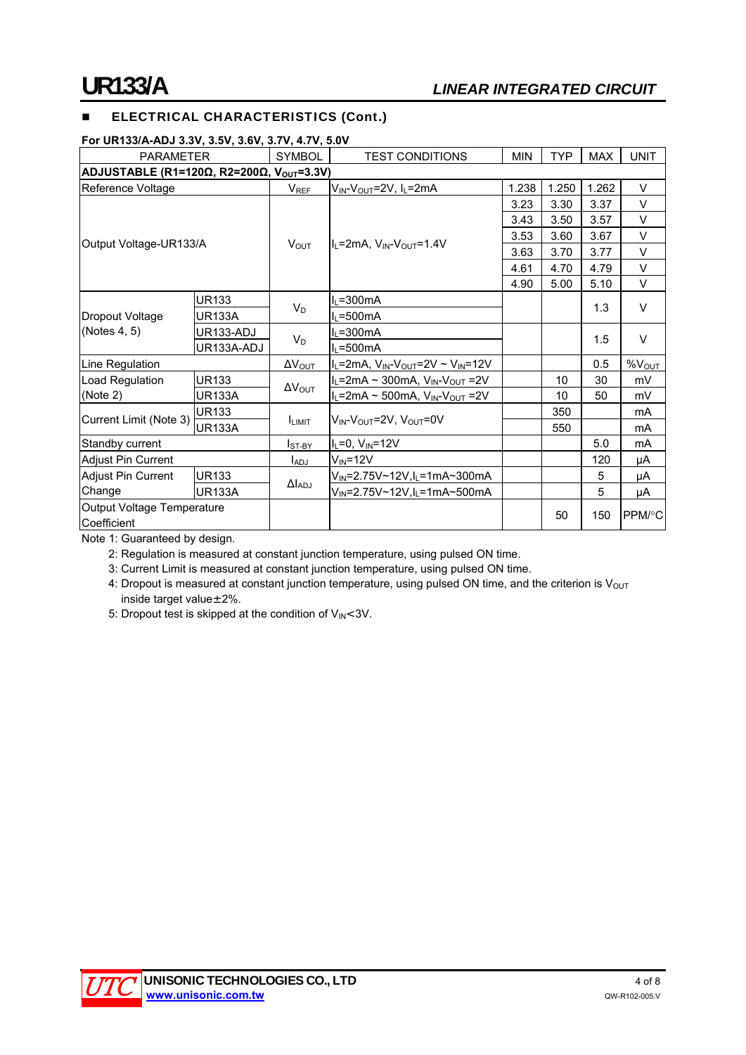#### ELECTRICAL CHARACTERISTICS (Cont.)

| <b>PARAMETER</b>                                                        |                                         | <b>SYMBOL</b>           | <b>TEST CONDITIONS</b>                                      | <b>MIN</b> | <b>TYP</b> | <b>MAX</b> | <b>UNIT</b> |
|-------------------------------------------------------------------------|-----------------------------------------|-------------------------|-------------------------------------------------------------|------------|------------|------------|-------------|
| ADJUSTABLE (R1=120 $\Omega$ , R2=200 $\Omega$ , V <sub>OUT</sub> =3.3V) |                                         |                         |                                                             |            |            |            |             |
| Reference Voltage                                                       |                                         | $V_{REF}$               | V <sub>IN</sub> -V <sub>OUT</sub> =2V, I <sub>L</sub> =2mA  | 1.238      | 1.250      | 1.262      | $\vee$      |
| Output Voltage-UR133/A                                                  |                                         |                         | II⊢=2mA. Vıм-Vоuт=1.4V                                      | 3.23       | 3.30       | 3.37       | $\vee$      |
|                                                                         |                                         |                         |                                                             | 3.43       | 3.50       | 3.57       | V           |
|                                                                         |                                         |                         |                                                             | 3.53       | 3.60       | 3.67       | $\vee$      |
|                                                                         |                                         | <b>V</b> <sub>OUT</sub> |                                                             | 3.63       | 3.70       | 3.77       | $\vee$      |
|                                                                         |                                         |                         |                                                             | 4.61       | 4.70       | 4.79       | $\vee$      |
|                                                                         |                                         |                         |                                                             | 4.90       | 5.00       | 5.10       | $\vee$      |
| Dropout Voltage<br>(Notes 4, 5)                                         | <b>UR133</b>                            | $V_D$                   | $l1 = 300mA$                                                |            |            | 1.3        | $\vee$      |
|                                                                         | <b>UR133A</b>                           |                         | $l1 = 500mA$                                                |            |            |            |             |
|                                                                         | UR133-ADJ                               |                         | $I_L = 300mA$                                               |            |            | 1.5        | $\vee$      |
|                                                                         | UR133A-ADJ                              | $V_D$                   | $I_L = 500mA$                                               |            |            |            |             |
| Line Regulation                                                         |                                         | $\Delta V_{\text{OUT}}$ | $I_L = 2mA$ , $V_{IN} - V_{OUT} = 2V - V_{IN} = 12V$        |            |            | 0.5        | $%V_{OUT}$  |
| Load Regulation                                                         | <b>UR133</b>                            | $\Delta V_{\text{OUT}}$ | $I_L$ =2mA ~ 300mA, $V_{IN}$ - $V_{OUT}$ =2V                |            | 10         | 30         | mV          |
| (Note 2)                                                                | <b>UR133A</b>                           |                         | $I_L$ =2mA ~ 500mA, $V_{IN}$ - $V_{OUT}$ =2V                |            | 10         | 50         | mV          |
| Current Limit (Note 3)                                                  | <b>UR133</b>                            | <b>LIMIT</b>            |                                                             |            | 350        |            | mA          |
|                                                                         | <b>UR133A</b>                           |                         | V <sub>IN</sub> -V <sub>OUT</sub> =2V, V <sub>OUT</sub> =0V |            | 550        |            | mA          |
| Standby current                                                         |                                         | I <sub>ST-BY</sub>      | $I_L = 0$ , $V_{IN} = 12V$                                  |            |            | 5.0        | <b>mA</b>   |
| Adjust Pin Current                                                      |                                         | <b>ADJ</b>              | $V_{\text{IN}}$ =12V                                        |            |            | 120        | μA          |
| Adjust Pin Current                                                      | <b>UR133</b>                            |                         | V <sub>IN</sub> =2.75V~12V,I <sub>L</sub> =1mA~300mA        |            |            | 5          | μA          |
| Change                                                                  | $\Delta I_{ADJ}$<br>UR <sub>133</sub> A |                         | $V_{IN} = 2.75V \times 12V, I_L = 1mA \times 500mA$         |            |            | 5          | μA          |
| Output Voltage Temperature<br>Coefficient                               |                                         |                         |                                                             |            | 50         | 150        | PPM/°C      |

#### **For UR133/A-ADJ 3.3V, 3.5V, 3.6V, 3.7V, 4.7V, 5.0V**

Note 1: Guaranteed by design.

2: Regulation is measured at constant junction temperature, using pulsed ON time.

3: Current Limit is measured at constant junction temperature, using pulsed ON time.

4: Dropout is measured at constant junction temperature, using pulsed ON time, and the criterion is  $V_{OUT}$ inside target value $\pm 2\%$ .

5: Dropout test is skipped at the condition of  $V_{IN}$  < 3V.

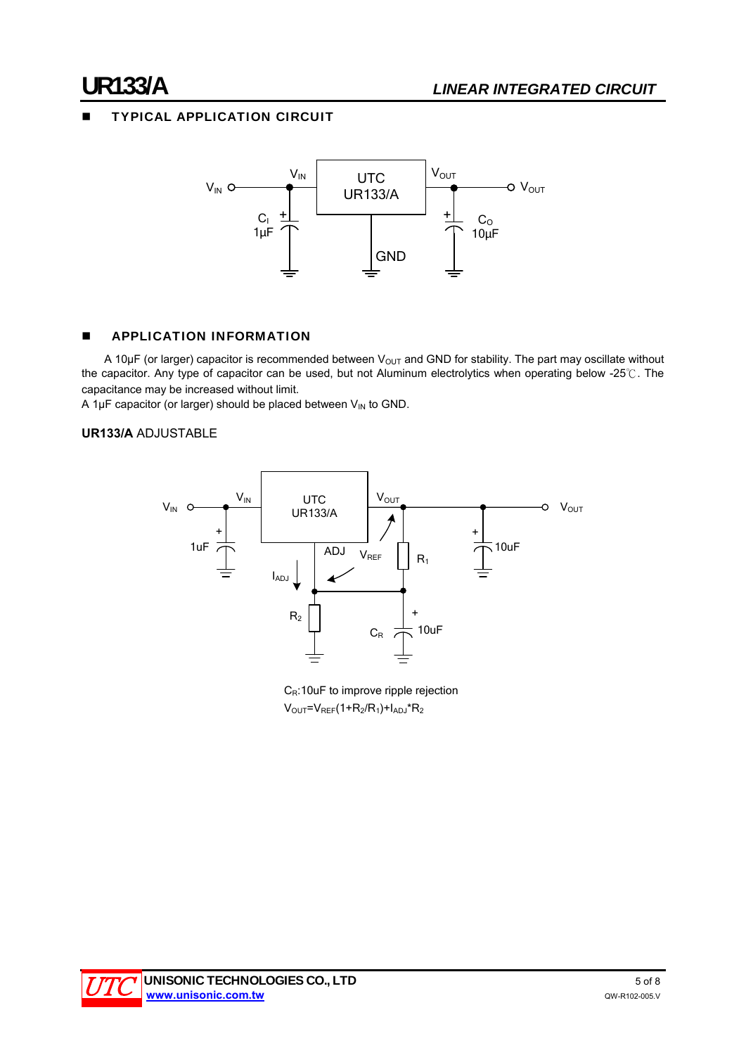#### TYPICAL APPLICATION CIRCUIT



#### **APPLICATION INFORMATION**

A 10 $\mu$ F (or larger) capacitor is recommended between  $V_{\text{OUT}}$  and GND for stability. The part may oscillate without the capacitor. Any type of capacitor can be used, but not Aluminum electrolytics when operating below -25℃. The capacitance may be increased without limit.

A 1 $\mu$ F capacitor (or larger) should be placed between  $V_{\text{IN}}$  to GND.

#### **UR133/A** ADJUSTABLE



 $C_R$ :10uF to improve ripple rejection  $V<sub>OUT</sub>=V<sub>REF</sub>(1+R<sub>2</sub>/R<sub>1</sub>)+I<sub>AD</sub><sup>*</sup>R<sub>2</sub>$ 

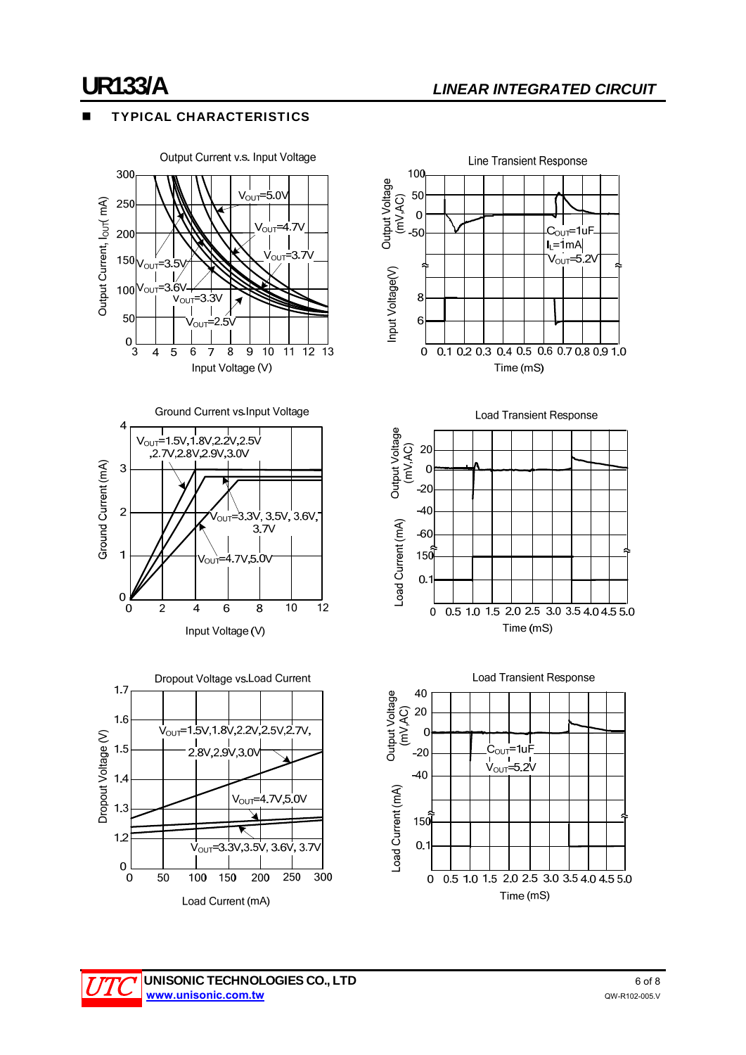#### TYPICAL CHARACTERISTICS











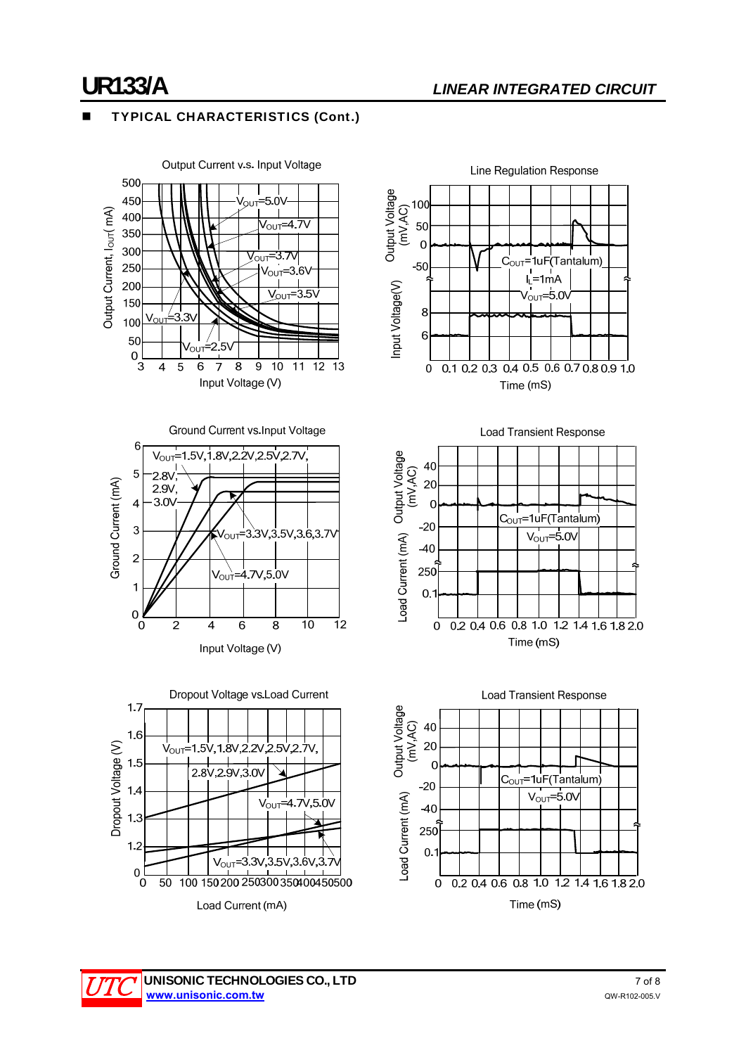### TYPICAL CHARACTERISTICS (Cont.)